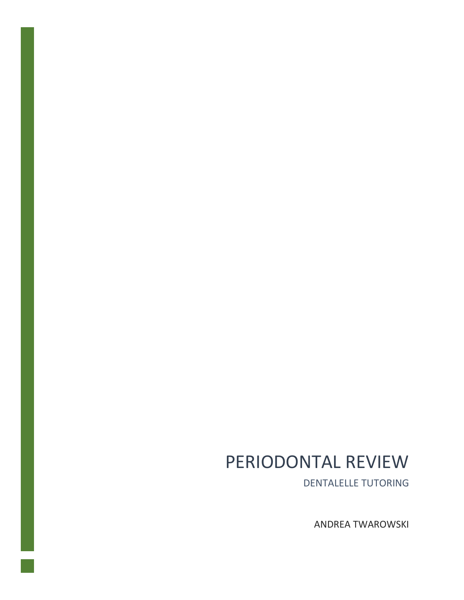# PERIODONTAL REVIEW

DENTALELLE TUTORING

ANDREA TWAROWSKI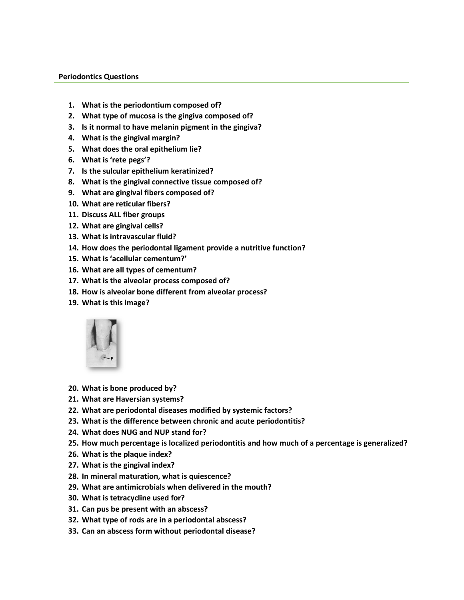#### **Periodontics Questions**

- **1. What is the periodontium composed of?**
- **2. What type of mucosa is the gingiva composed of?**
- **3. Is it normal to have melanin pigment in the gingiva?**
- **4. What is the gingival margin?**
- **5. What does the oral epithelium lie?**
- **6. What is 'rete pegs'?**
- **7. Is the sulcular epithelium keratinized?**
- **8. What is the gingival connective tissue composed of?**
- **9. What are gingival fibers composed of?**
- **10. What are reticular fibers?**
- **11. Discuss ALL fiber groups**
- **12. What are gingival cells?**
- **13. What is intravascular fluid?**
- **14. How does the periodontal ligament provide a nutritive function?**
- **15. What is 'acellular cementum?'**
- **16. What are all types of cementum?**
- **17. What is the alveolar process composed of?**
- **18. How is alveolar bone different from alveolar process?**
- **19. What is this image?**



- **20. What is bone produced by?**
- **21. What are Haversian systems?**
- **22. What are periodontal diseases modified by systemic factors?**
- **23. What is the difference between chronic and acute periodontitis?**
- **24. What does NUG and NUP stand for?**
- **25. How much percentage is localized periodontitis and how much of a percentage is generalized?**
- **26. What is the plaque index?**
- **27. What is the gingival index?**
- **28. In mineral maturation, what is quiescence?**
- **29. What are antimicrobials when delivered in the mouth?**
- **30. What is tetracycline used for?**
- **31. Can pus be present with an abscess?**
- **32. What type of rods are in a periodontal abscess?**
- **33. Can an abscess form without periodontal disease?**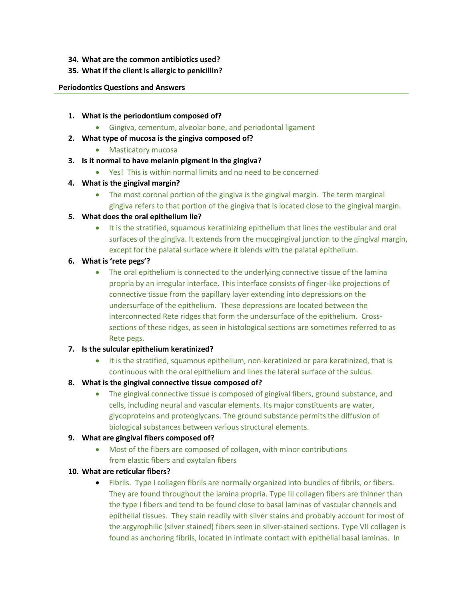- **34. What are the common antibiotics used?**
- **35. What if the client is allergic to penicillin?**

#### **Periodontics Questions and Answers**

- **1. What is the periodontium composed of?**
	- Gingiva, cementum, alveolar bone, and periodontal ligament
- **2. What type of mucosa is the gingiva composed of?**
	- **•** Masticatory mucosa
- **3. Is it normal to have melanin pigment in the gingiva?**
	- Yes! This is within normal limits and no need to be concerned
- **4. What is the gingival margin?**
	- The most coronal portion of the gingiva is the gingival margin. The term marginal gingiva refers to that portion of the gingiva that is located close to the gingival margin.
- **5. What does the oral epithelium lie?**
	- It is the stratified, squamous keratinizing epithelium that lines the vestibular and oral surfaces of the gingiva. It extends from the mucogingival junction to the gingival margin, except for the palatal surface where it blends with the palatal epithelium.

## **6. What is 'rete pegs'?**

- The oral epithelium is connected to the underlying connective tissue of the lamina propria by an irregular interface. This interface consists of finger-like projections of connective tissue from the papillary layer extending into depressions on the undersurface of the epithelium. These depressions are located between the interconnected Rete ridges that form the undersurface of the epithelium. Crosssections of these ridges, as seen in histological sections are sometimes referred to as Rete pegs.
- **7. Is the sulcular epithelium keratinized?**
	- It is the stratified, squamous epithelium, non-keratinized or para keratinized, that is continuous with the oral epithelium and lines the lateral surface of the sulcus.
- **8. What is the gingival connective tissue composed of?**
	- The gingival connective tissue is composed of gingival fibers, ground substance, and cells, including neural and vascular elements. Its major constituents are water, glycoproteins and proteoglycans. The ground substance permits the diffusion of biological substances between various structural elements.

## **9. What are gingival fibers composed of?**

 Most of the fibers are composed of collagen, with minor contributions from elastic fibers and oxytalan fibers

## **10. What are reticular fibers?**

 Fibrils. Type I collagen fibrils are normally organized into bundles of fibrils, or fibers. They are found throughout the lamina propria. Type III collagen fibers are thinner than the type I fibers and tend to be found close to basal laminas of vascular channels and epithelial tissues. They stain readily with silver stains and probably account for most of the argyrophilic (silver stained) fibers seen in silver-stained sections. Type VII collagen is found as anchoring fibrils, located in intimate contact with epithelial basal laminas. In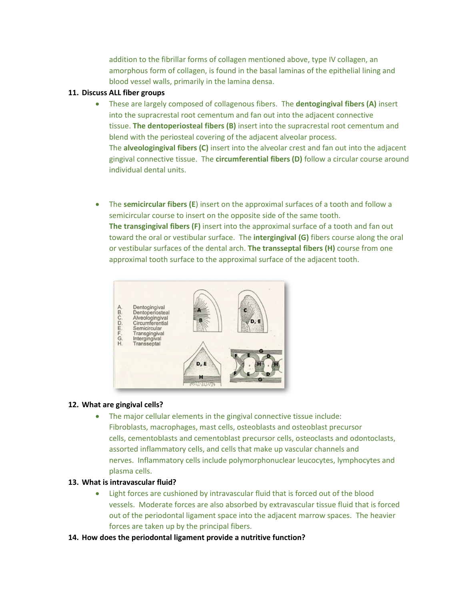addition to the fibrillar forms of collagen mentioned above, type IV collagen, an amorphous form of collagen, is found in the basal laminas of the epithelial lining and blood vessel walls, primarily in the lamina densa.

## **11. Discuss ALL fiber groups**

- These are largely composed of collagenous fibers. The **dentogingival fibers (A)** insert into the supracrestal root cementum and fan out into the adjacent connective tissue. **The dentoperiosteal fibers (B)** insert into the supracrestal root cementum and blend with the periosteal covering of the adjacent alveolar process. The **alveologingival fibers (C)** insert into the alveolar crest and fan out into the adjacent gingival connective tissue. The **circumferential fibers (D)** follow a circular course around individual dental units.
- The **semicircular fibers (E**) insert on the approximal surfaces of a tooth and follow a semicircular course to insert on the opposite side of the same tooth. **The transgingival fibers (F)** insert into the approximal surface of a tooth and fan out toward the oral or vestibular surface. The **intergingival (G)** fibers course along the oral or vestibular surfaces of the dental arch. **The transseptal fibers (H)** course from one approximal tooth surface to the approximal surface of the adjacent tooth.



## **12. What are gingival cells?**

 The major cellular elements in the gingival connective tissue include: Fibroblasts, macrophages, mast cells, osteoblasts and osteoblast precursor cells, cementoblasts and cementoblast precursor cells, osteoclasts and odontoclasts, assorted inflammatory cells, and cells that make up vascular channels and nerves. Inflammatory cells include polymorphonuclear leucocytes, lymphocytes and plasma cells.

## **13. What is intravascular fluid?**

- Light forces are cushioned by intravascular fluid that is forced out of the blood vessels. Moderate forces are also absorbed by extravascular tissue fluid that is forced out of the periodontal ligament space into the adjacent marrow spaces. The heavier forces are taken up by the principal fibers.
- **14. How does the periodontal ligament provide a nutritive function?**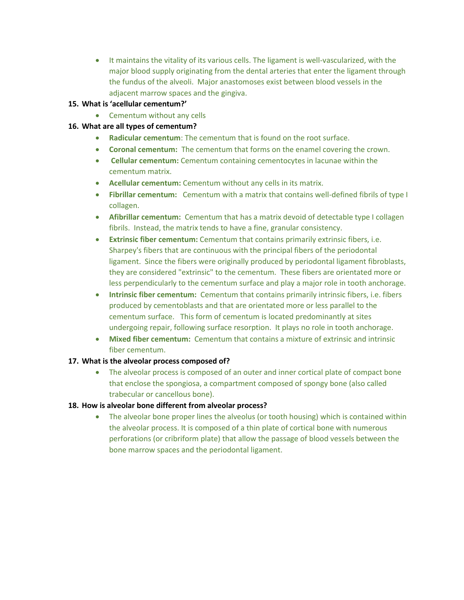It maintains the vitality of its various cells. The ligament is well-vascularized, with the major blood supply originating from the dental arteries that enter the ligament through the fundus of the alveoli. Major anastomoses exist between blood vessels in the adjacent marrow spaces and the gingiva.

# **15. What is 'acellular cementum?'**

• Cementum without any cells

## **16. What are all types of cementum?**

- **Radicular cementum**: The cementum that is found on the root surface.
- **Coronal cementum:** The cementum that forms on the enamel covering the crown.
- **Cellular cementum:** Cementum containing cementocytes in lacunae within the cementum matrix.
- **Acellular cementum:** Cementum without any cells in its matrix.
- **Fibrillar cementum:** Cementum with a matrix that contains well-defined fibrils of type I collagen.
- **Afibrillar cementum:** Cementum that has a matrix devoid of detectable type I collagen fibrils. Instead, the matrix tends to have a fine, granular consistency.
- **Extrinsic fiber cementum:** Cementum that contains primarily extrinsic fibers, i.e. Sharpey's fibers that are continuous with the principal fibers of the periodontal ligament. Since the fibers were originally produced by periodontal ligament fibroblasts, they are considered "extrinsic" to the cementum. These fibers are orientated more or less perpendicularly to the cementum surface and play a major role in tooth anchorage.
- **Intrinsic fiber cementum:** Cementum that contains primarily intrinsic fibers, i.e. fibers produced by cementoblasts and that are orientated more or less parallel to the cementum surface. This form of cementum is located predominantly at sites undergoing repair, following surface resorption. It plays no role in tooth anchorage.
- **Mixed fiber cementum:** Cementum that contains a mixture of extrinsic and intrinsic fiber cementum.

## **17. What is the alveolar process composed of?**

• The alveolar process is composed of an outer and inner cortical plate of compact bone that enclose the spongiosa, a compartment composed of spongy bone (also called trabecular or cancellous bone).

## **18. How is alveolar bone different from alveolar process?**

• The alveolar bone proper lines the alveolus (or tooth housing) which is contained within the alveolar process. It is composed of a thin plate of cortical bone with numerous perforations (or cribriform plate) that allow the passage of blood vessels between the bone marrow spaces and the periodontal ligament.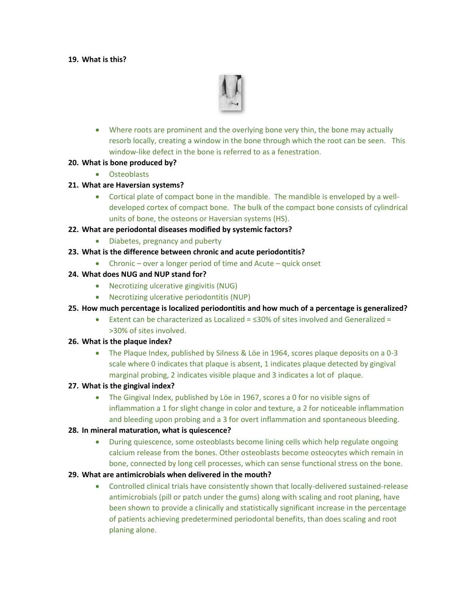## **19. What is this?**



 Where roots are prominent and the overlying bone very thin, the bone may actually resorb locally, creating a window in the bone through which the root can be seen. This window-like defect in the bone is referred to as a fenestration.

## **20. What is bone produced by?**

**•** Osteoblasts

## **21. What are Haversian systems?**

 Cortical plate of compact bone in the mandible. The mandible is enveloped by a welldeveloped cortex of compact bone. The bulk of the compact bone consists of cylindrical units of bone, the osteons or Haversian systems (HS).

## **22. What are periodontal diseases modified by systemic factors?**

- Diabetes, pregnancy and puberty
- **23. What is the difference between chronic and acute periodontitis?**
	- Chronic over a longer period of time and Acute quick onset

## **24. What does NUG and NUP stand for?**

- Necrotizing ulcerative gingivitis (NUG)
- Necrotizing ulcerative periodontitis (NUP)
- **25. How much percentage is localized periodontitis and how much of a percentage is generalized?**
	- Extent can be characterized as Localized =  $\leq 30\%$  of sites involved and Generalized = >30% of sites involved.

## **26. What is the plaque index?**

• The Plaque Index, published by Silness & Löe in 1964, scores plaque deposits on a 0-3 scale where 0 indicates that plaque is absent, 1 indicates plaque detected by gingival marginal probing, 2 indicates visible plaque and 3 indicates a lot of plaque.

## **27. What is the gingival index?**

• The Gingival Index, published by Löe in 1967, scores a 0 for no visible signs of inflammation a 1 for slight change in color and texture, a 2 for noticeable inflammation and bleeding upon probing and a 3 for overt inflammation and spontaneous bleeding.

# **28. In mineral maturation, what is quiescence?**

 During quiescence, some osteoblasts become lining cells which help regulate ongoing calcium release from the bones. Other osteoblasts become osteocytes which remain in bone, connected by long cell processes, which can sense functional stress on the bone.

## **29. What are antimicrobials when delivered in the mouth?**

 Controlled clinical trials have consistently shown that locally-delivered sustained-release antimicrobials (pill or patch under the gums) along with scaling and root planing, have been shown to provide a clinically and statistically significant increase in the percentage of patients achieving predetermined periodontal benefits, than does scaling and root planing alone.